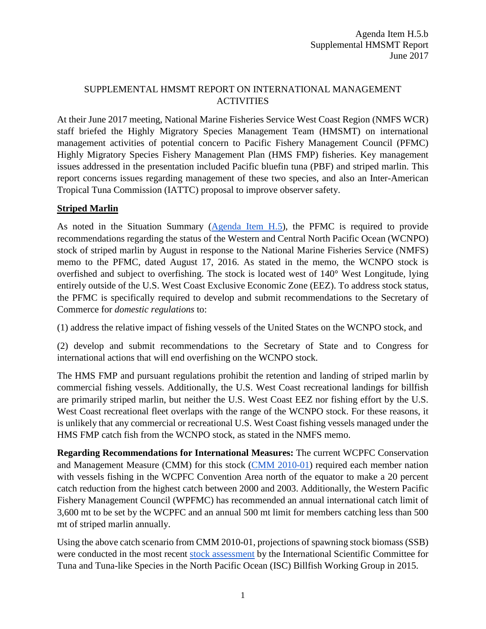### SUPPLEMENTAL HMSMT REPORT ON INTERNATIONAL MANAGEMENT **ACTIVITIES**

At their June 2017 meeting, National Marine Fisheries Service West Coast Region (NMFS WCR) staff briefed the Highly Migratory Species Management Team (HMSMT) on international management activities of potential concern to Pacific Fishery Management Council (PFMC) Highly Migratory Species Fishery Management Plan (HMS FMP) fisheries. Key management issues addressed in the presentation included Pacific bluefin tuna (PBF) and striped marlin. This report concerns issues regarding management of these two species, and also an Inter-American Tropical Tuna Commission (IATTC) proposal to improve observer safety.

# **Striped Marlin**

As noted in the Situation Summary [\(Agenda Item H.5\)](http://www.pcouncil.org/wp-content/uploads/2017/05/H5__SitSum_Intl_Mgmt_Jun2017BB.pdf), the PFMC is required to provide recommendations regarding the status of the Western and Central North Pacific Ocean (WCNPO) stock of striped marlin by August in response to the National Marine Fisheries Service (NMFS) memo to the PFMC, dated August 17, 2016. As stated in the memo, the WCNPO stock is overfished and subject to overfishing. The stock is located west of 140° West Longitude, lying entirely outside of the U.S. West Coast Exclusive Economic Zone (EEZ). To address stock status, the PFMC is specifically required to develop and submit recommendations to the Secretary of Commerce for *domestic regulations* to:

(1) address the relative impact of fishing vessels of the United States on the WCNPO stock, and

(2) develop and submit recommendations to the Secretary of State and to Congress for international actions that will end overfishing on the WCNPO stock.

The HMS FMP and pursuant regulations prohibit the retention and landing of striped marlin by commercial fishing vessels. Additionally, the U.S. West Coast recreational landings for billfish are primarily striped marlin, but neither the U.S. West Coast EEZ nor fishing effort by the U.S. West Coast recreational fleet overlaps with the range of the WCNPO stock. For these reasons, it is unlikely that any commercial or recreational U.S. West Coast fishing vessels managed under the HMS FMP catch fish from the WCNPO stock, as stated in the NMFS memo.

**Regarding Recommendations for International Measures:** The current WCPFC Conservation and Management Measure (CMM) for this stock [\(CMM 2010-01\)](https://www.wcpfc.int/system/files/CMM%202010-01%20%5BNorth%20Pacific%20Striped%20Marlin%5D.pdf) required each member nation with vessels fishing in the WCPFC Convention Area north of the equator to make a 20 percent catch reduction from the highest catch between 2000 and 2003. Additionally, the Western Pacific Fishery Management Council (WPFMC) has recommended an annual international catch limit of 3,600 mt to be set by the WCPFC and an annual 500 mt limit for members catching less than 500 mt of striped marlin annually.

Using the above catch scenario from CMM 2010-01, projections of spawning stock biomass (SSB) were conducted in the most recent [stock assessment](http://isc.fra.go.jp/pdf/ISC15/Annex11_WCNPO_STM_ASSESSMENT_REPORT_2015.pdf) by the International Scientific Committee for Tuna and Tuna-like Species in the North Pacific Ocean (ISC) Billfish Working Group in 2015.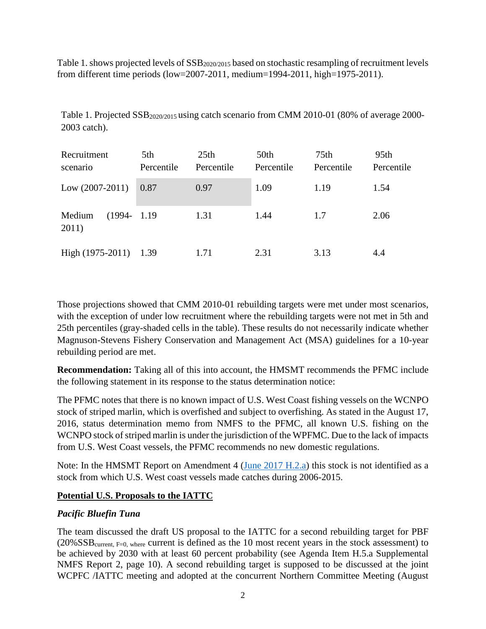Table 1. shows projected levels of  $SSB<sub>2020/2015</sub>$  based on stochastic resampling of recruitment levels from different time periods (low=2007-2011, medium=1994-2011, high=1975-2011).

| Recruitment<br>scenario      | 5th<br>Percentile | 25 <sub>th</sub><br>Percentile | 50th<br>Percentile | 75th<br>Percentile | 95th<br>Percentile |
|------------------------------|-------------------|--------------------------------|--------------------|--------------------|--------------------|
| Low $(2007-2011)$            | 0.87              | 0.97                           | 1.09               | 1.19               | 1.54               |
| $(1994 -$<br>Medium<br>2011) | 1.19              | 1.31                           | 1.44               | 1.7                | 2.06               |
| High (1975-2011)             | 1.39              | 1.71                           | 2.31               | 3.13               | 4.4                |

Table 1. Projected  $SSB_{2020/2015}$  using catch scenario from CMM 2010-01 (80% of average 2000-2003 catch).

Those projections showed that CMM 2010-01 rebuilding targets were met under most scenarios, with the exception of under low recruitment where the rebuilding targets were not met in 5th and 25th percentiles (gray-shaded cells in the table). These results do not necessarily indicate whether Magnuson-Stevens Fishery Conservation and Management Act (MSA) guidelines for a 10-year rebuilding period are met.

**Recommendation:** Taking all of this into account, the HMSMT recommends the PFMC include the following statement in its response to the status determination notice:

The PFMC notes that there is no known impact of U.S. West Coast fishing vessels on the WCNPO stock of striped marlin, which is overfished and subject to overfishing. As stated in the August 17, 2016, status determination memo from NMFS to the PFMC, all known U.S. fishing on the WCNPO stock of striped marlin is under the jurisdiction of the WPFMC. Due to the lack of impacts from U.S. West Coast vessels, the PFMC recommends no new domestic regulations.

Note: In the HMSMT Report on Amendment 4 [\(June 2017 H.2.a\)](http://www.pcouncil.org/wp-content/uploads/2017/05/H2a_HMSMT_Rpt_Amndmt4_Jun2017BB.pdf) this stock is not identified as a stock from which U.S. West coast vessels made catches during 2006-2015.

# **Potential U.S. Proposals to the IATTC**

#### *Pacific Bluefin Tuna*

The team discussed the draft US proposal to the IATTC for a second rebuilding target for PBF (20%SSBcurrent, F=0, where current is defined as the 10 most recent years in the stock assessment) to be achieved by 2030 with at least 60 percent probability (see Agenda Item H.5.a Supplemental NMFS Report 2, page 10). A second rebuilding target is supposed to be discussed at the joint WCPFC /IATTC meeting and adopted at the concurrent Northern Committee Meeting (August